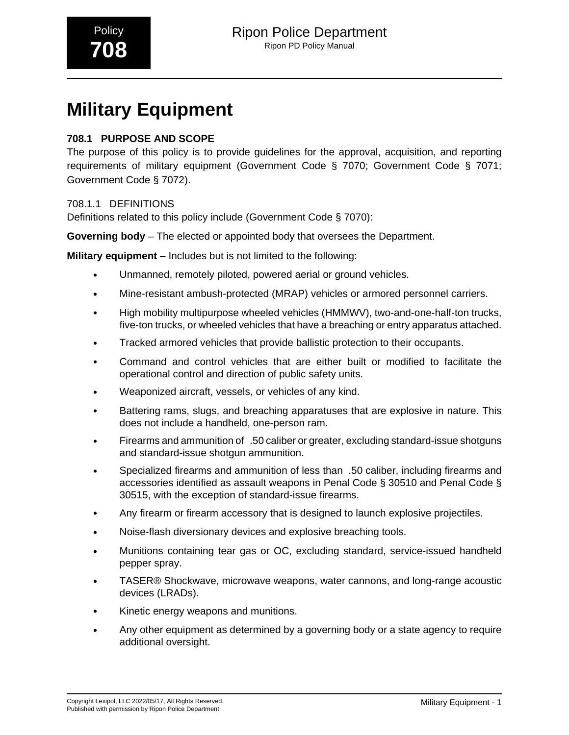# **Military Equipment**

# **708.1 PURPOSE AND SCOPE**

The purpose of this policy is to provide guidelines for the approval, acquisition, and reporting requirements of military equipment (Government Code § 7070; Government Code § 7071; Government Code § 7072).

### 708.1.1 DEFINITIONS

Definitions related to this policy include (Government Code § 7070):

**Governing body** – The elected or appointed body that oversees the Department.

**Military equipment** – Includes but is not limited to the following:

- Unmanned, remotely piloted, powered aerial or ground vehicles.
- Mine-resistant ambush-protected (MRAP) vehicles or armored personnel carriers.
- High mobility multipurpose wheeled vehicles (HMMWV), two-and-one-half-ton trucks, five-ton trucks, or wheeled vehicles that have a breaching or entry apparatus attached.
- Tracked armored vehicles that provide ballistic protection to their occupants.
- Command and control vehicles that are either built or modified to facilitate the operational control and direction of public safety units.
- Weaponized aircraft, vessels, or vehicles of any kind.
- Battering rams, slugs, and breaching apparatuses that are explosive in nature. This does not include a handheld, one-person ram.
- Firearms and ammunition of\_.50 caliber or greater, excluding standard-issue shotguns and standard-issue shotgun ammunition.
- Specialized firearms and ammunition of less than\_.50 caliber, including firearms and accessories identified as assault weapons in Penal Code § 30510 and Penal Code § 30515, with the exception of standard-issue firearms.
- Any firearm or firearm accessory that is designed to launch explosive projectiles.
- Noise-flash diversionary devices and explosive breaching tools.
- Munitions containing tear gas or OC, excluding standard, service-issued handheld pepper spray.
- TASER® Shockwave, microwave weapons, water cannons, and long-range acoustic devices (LRADs).
- Kinetic energy weapons and munitions.
- Any other equipment as determined by a governing body or a state agency to require additional oversight.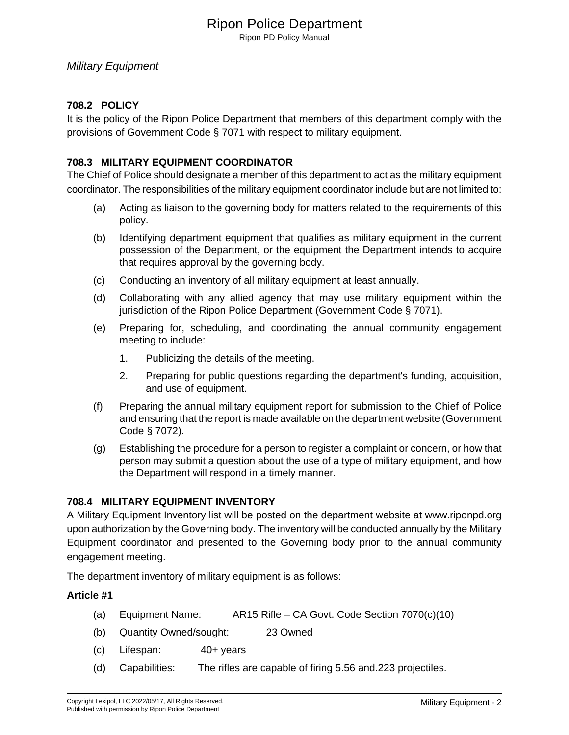# Ripon Police Department

Ripon PD Policy Manual

#### Military Equipment

#### **708.2 POLICY**

It is the policy of the Ripon Police Department that members of this department comply with the provisions of Government Code § 7071 with respect to military equipment.

#### **708.3 MILITARY EQUIPMENT COORDINATOR**

The Chief of Police should designate a member of this department to act as the military equipment coordinator. The responsibilities of the military equipment coordinator include but are not limited to:

- (a) Acting as liaison to the governing body for matters related to the requirements of this policy.
- (b) Identifying department equipment that qualifies as military equipment in the current possession of the Department, or the equipment the Department intends to acquire that requires approval by the governing body.
- (c) Conducting an inventory of all military equipment at least annually.
- (d) Collaborating with any allied agency that may use military equipment within the jurisdiction of the Ripon Police Department (Government Code § 7071).
- (e) Preparing for, scheduling, and coordinating the annual community engagement meeting to include:
	- 1. Publicizing the details of the meeting.
	- 2. Preparing for public questions regarding the department's funding, acquisition, and use of equipment.
- (f) Preparing the annual military equipment report for submission to the Chief of Police and ensuring that the report is made available on the department website (Government Code § 7072).
- (g) Establishing the procedure for a person to register a complaint or concern, or how that person may submit a question about the use of a type of military equipment, and how the Department will respond in a timely manner.

#### **708.4 MILITARY EQUIPMENT INVENTORY**

A Military Equipment Inventory list will be posted on the department website at www.riponpd.org upon authorization by the Governing body. The inventory will be conducted annually by the Military Equipment coordinator and presented to the Governing body prior to the annual community engagement meeting.

The department inventory of military equipment is as follows:

- (a) Equipment Name: AR15 Rifle CA Govt. Code Section 7070(c)(10)
- (b) Quantity Owned/sought: 23 Owned
- (c) Lifespan: 40+ years
- (d) Capabilities: The rifles are capable of firing 5.56 and.223 projectiles.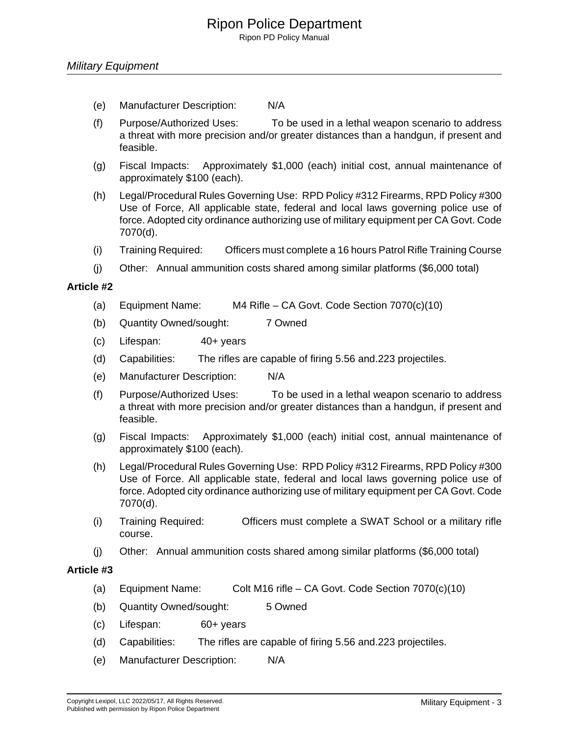Ripon PD Policy Manual

- (e) Manufacturer Description: N/A
- (f) Purpose/Authorized Uses: To be used in a lethal weapon scenario to address a threat with more precision and/or greater distances than a handgun, if present and feasible.
- (g) Fiscal Impacts: Approximately \$1,000 (each) initial cost, annual maintenance of approximately \$100 (each).
- (h) Legal/Procedural Rules Governing Use: RPD Policy #312 Firearms, RPD Policy #300 Use of Force, All applicable state, federal and local laws governing police use of force. Adopted city ordinance authorizing use of military equipment per CA Govt. Code 7070(d).
- (i) Training Required: Officers must complete a 16 hours Patrol Rifle Training Course
- (j) Other: Annual ammunition costs shared among similar platforms (\$6,000 total)

#### **Article #2**

- (a) Equipment Name: M4 Rifle CA Govt. Code Section 7070(c)(10)
- (b) Quantity Owned/sought: 7 Owned
- (c) Lifespan: 40+ years
- (d) Capabilities: The rifles are capable of firing 5.56 and.223 projectiles.
- (e) Manufacturer Description: N/A
- (f) Purpose/Authorized Uses: To be used in a lethal weapon scenario to address a threat with more precision and/or greater distances than a handgun, if present and feasible.
- (g) Fiscal Impacts: Approximately \$1,000 (each) initial cost, annual maintenance of approximately \$100 (each).
- (h) Legal/Procedural Rules Governing Use: RPD Policy #312 Firearms, RPD Policy #300 Use of Force. All applicable state, federal and local laws governing police use of force. Adopted city ordinance authorizing use of military equipment per CA Govt. Code 7070(d).
- (i) Training Required: Officers must complete a SWAT School or a military rifle course.
- (j) Other: Annual ammunition costs shared among similar platforms (\$6,000 total)

- (a) Equipment Name: Colt M16 rifle CA Govt. Code Section 7070(c)(10)
- (b) Quantity Owned/sought: 5 Owned
- (c) Lifespan: 60+ years
- (d) Capabilities: The rifles are capable of firing 5.56 and.223 projectiles.
- (e) Manufacturer Description: N/A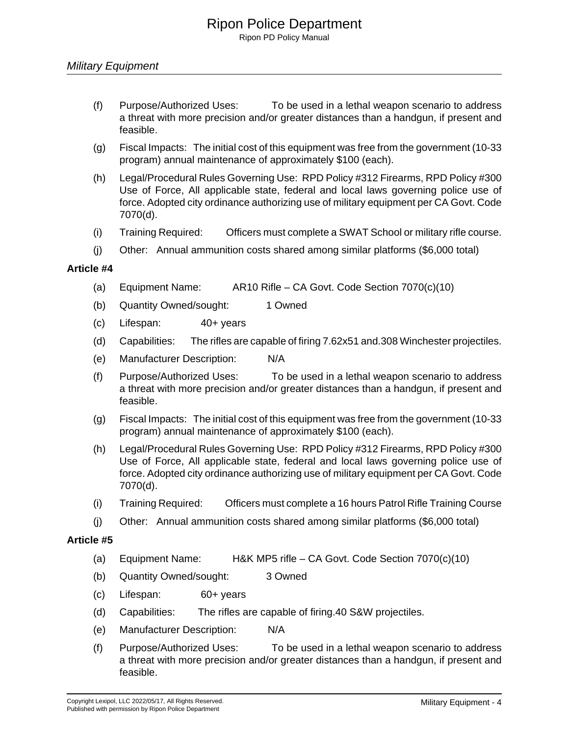- (f) Purpose/Authorized Uses: To be used in a lethal weapon scenario to address a threat with more precision and/or greater distances than a handgun, if present and feasible.
- (g) Fiscal Impacts: The initial cost of this equipment was free from the government (10-33 program) annual maintenance of approximately \$100 (each).
- (h) Legal/Procedural Rules Governing Use: RPD Policy #312 Firearms, RPD Policy #300 Use of Force, All applicable state, federal and local laws governing police use of force. Adopted city ordinance authorizing use of military equipment per CA Govt. Code 7070(d).
- (i) Training Required: Officers must complete a SWAT School or military rifle course.
- (j) Other: Annual ammunition costs shared among similar platforms (\$6,000 total)

- (a) Equipment Name: AR10 Rifle CA Govt. Code Section 7070(c)(10)
- (b) Quantity Owned/sought: 1 Owned
- (c) Lifespan: 40+ years
- (d) Capabilities: The rifles are capable of firing 7.62x51 and.308 Winchester projectiles.
- (e) Manufacturer Description: N/A
- (f) Purpose/Authorized Uses: To be used in a lethal weapon scenario to address a threat with more precision and/or greater distances than a handgun, if present and feasible.
- (g) Fiscal Impacts: The initial cost of this equipment was free from the government (10-33 program) annual maintenance of approximately \$100 (each).
- (h) Legal/Procedural Rules Governing Use: RPD Policy #312 Firearms, RPD Policy #300 Use of Force, All applicable state, federal and local laws governing police use of force. Adopted city ordinance authorizing use of military equipment per CA Govt. Code 7070(d).
- (i) Training Required: Officers must complete a 16 hours Patrol Rifle Training Course
- (j) Other: Annual ammunition costs shared among similar platforms (\$6,000 total)

- (a) Equipment Name: H&K MP5 rifle CA Govt. Code Section 7070(c)(10)
- (b) Quantity Owned/sought: 3 Owned
- (c) Lifespan: 60+ years
- (d) Capabilities: The rifles are capable of firing.40 S&W projectiles.
- (e) Manufacturer Description: N/A
- (f) Purpose/Authorized Uses: To be used in a lethal weapon scenario to address a threat with more precision and/or greater distances than a handgun, if present and feasible.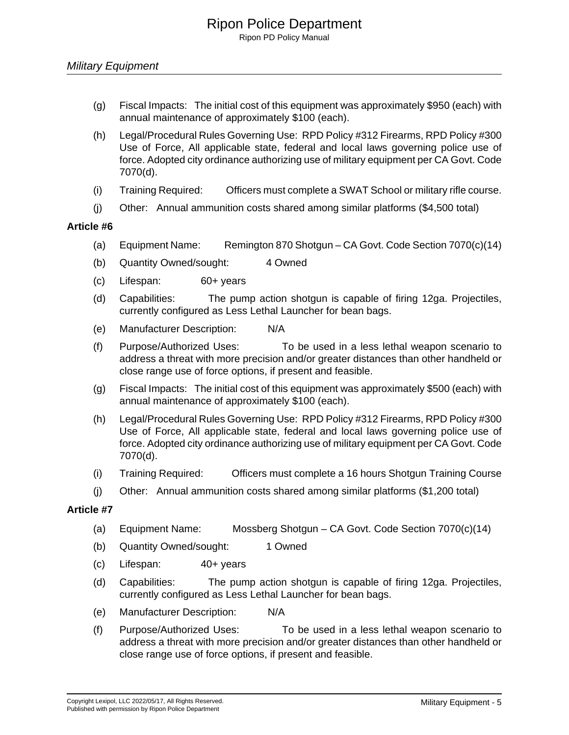- (g) Fiscal Impacts: The initial cost of this equipment was approximately \$950 (each) with annual maintenance of approximately \$100 (each).
- (h) Legal/Procedural Rules Governing Use: RPD Policy #312 Firearms, RPD Policy #300 Use of Force, All applicable state, federal and local laws governing police use of force. Adopted city ordinance authorizing use of military equipment per CA Govt. Code 7070(d).
- (i) Training Required: Officers must complete a SWAT School or military rifle course.
- (j) Other: Annual ammunition costs shared among similar platforms (\$4,500 total)

- (a) Equipment Name: Remington 870 Shotgun CA Govt. Code Section 7070(c)(14)
- (b) Quantity Owned/sought: 4 Owned
- (c) Lifespan: 60+ years
- (d) Capabilities: The pump action shotgun is capable of firing 12ga. Projectiles, currently configured as Less Lethal Launcher for bean bags.
- (e) Manufacturer Description: N/A
- (f) Purpose/Authorized Uses: To be used in a less lethal weapon scenario to address a threat with more precision and/or greater distances than other handheld or close range use of force options, if present and feasible.
- (g) Fiscal Impacts: The initial cost of this equipment was approximately \$500 (each) with annual maintenance of approximately \$100 (each).
- (h) Legal/Procedural Rules Governing Use: RPD Policy #312 Firearms, RPD Policy #300 Use of Force, All applicable state, federal and local laws governing police use of force. Adopted city ordinance authorizing use of military equipment per CA Govt. Code 7070(d).
- (i) Training Required: Officers must complete a 16 hours Shotgun Training Course
- (j) Other: Annual ammunition costs shared among similar platforms (\$1,200 total)

- (a) Equipment Name: Mossberg Shotgun CA Govt. Code Section 7070(c)(14)
- (b) Quantity Owned/sought: 1 Owned
- (c) Lifespan: 40+ years
- (d) Capabilities: The pump action shotgun is capable of firing 12ga. Projectiles, currently configured as Less Lethal Launcher for bean bags.
- (e) Manufacturer Description: N/A
- (f) Purpose/Authorized Uses: To be used in a less lethal weapon scenario to address a threat with more precision and/or greater distances than other handheld or close range use of force options, if present and feasible.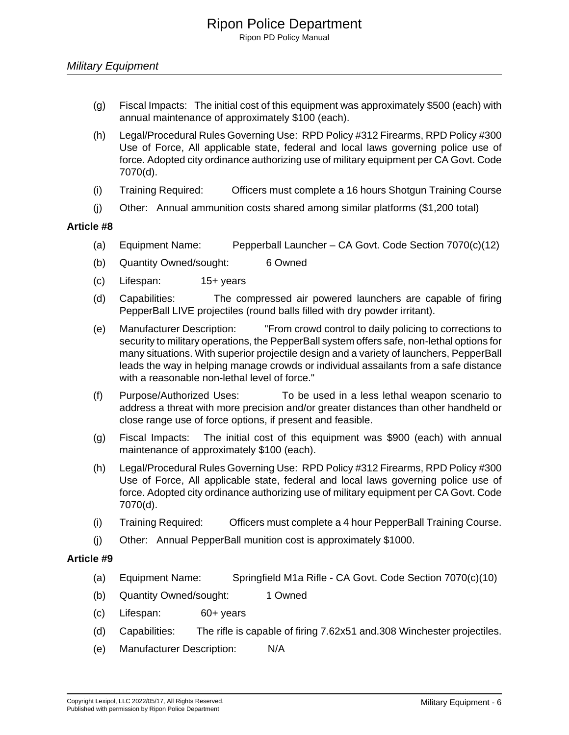- (g) Fiscal Impacts: The initial cost of this equipment was approximately \$500 (each) with annual maintenance of approximately \$100 (each).
- (h) Legal/Procedural Rules Governing Use: RPD Policy #312 Firearms, RPD Policy #300 Use of Force, All applicable state, federal and local laws governing police use of force. Adopted city ordinance authorizing use of military equipment per CA Govt. Code 7070(d).
- (i) Training Required: Officers must complete a 16 hours Shotgun Training Course
- (j) Other: Annual ammunition costs shared among similar platforms (\$1,200 total)

- (a) Equipment Name: Pepperball Launcher CA Govt. Code Section 7070(c)(12)
- (b) Quantity Owned/sought: 6 Owned
- (c) Lifespan: 15+ years
- (d) Capabilities: The compressed air powered launchers are capable of firing PepperBall LIVE projectiles (round balls filled with dry powder irritant).
- (e) Manufacturer Description: "From crowd control to daily policing to corrections to security to military operations, the PepperBall system offers safe, non-lethal options for many situations. With superior projectile design and a variety of launchers, PepperBall leads the way in helping manage crowds or individual assailants from a safe distance with a reasonable non-lethal level of force."
- (f) Purpose/Authorized Uses: To be used in a less lethal weapon scenario to address a threat with more precision and/or greater distances than other handheld or close range use of force options, if present and feasible.
- (g) Fiscal Impacts: The initial cost of this equipment was \$900 (each) with annual maintenance of approximately \$100 (each).
- (h) Legal/Procedural Rules Governing Use: RPD Policy #312 Firearms, RPD Policy #300 Use of Force, All applicable state, federal and local laws governing police use of force. Adopted city ordinance authorizing use of military equipment per CA Govt. Code 7070(d).
- (i) Training Required: Officers must complete a 4 hour PepperBall Training Course.
- (j) Other: Annual PepperBall munition cost is approximately \$1000.

- (a) Equipment Name: Springfield M1a Rifle CA Govt. Code Section 7070(c)(10)
- (b) Quantity Owned/sought: 1 Owned
- (c) Lifespan: 60+ years
- (d) Capabilities: The rifle is capable of firing 7.62x51 and.308 Winchester projectiles.
- (e) Manufacturer Description: N/A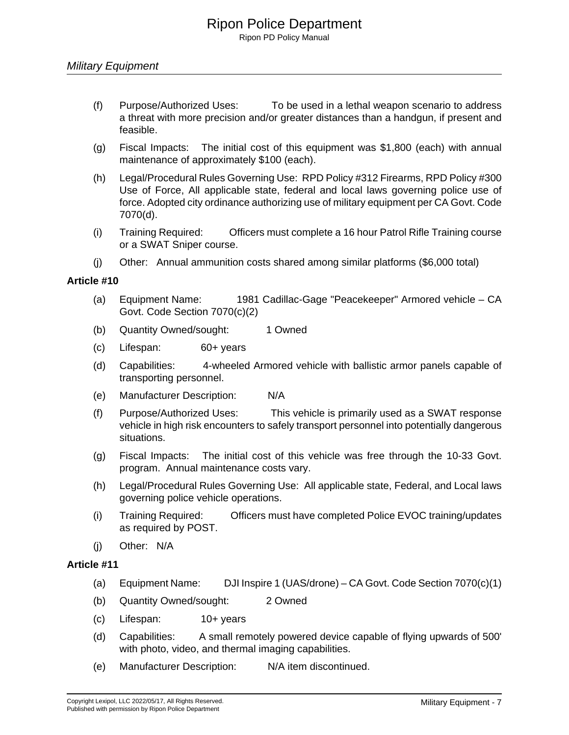- (f) Purpose/Authorized Uses: To be used in a lethal weapon scenario to address a threat with more precision and/or greater distances than a handgun, if present and feasible.
- (g) Fiscal Impacts: The initial cost of this equipment was \$1,800 (each) with annual maintenance of approximately \$100 (each).
- (h) Legal/Procedural Rules Governing Use: RPD Policy #312 Firearms, RPD Policy #300 Use of Force, All applicable state, federal and local laws governing police use of force. Adopted city ordinance authorizing use of military equipment per CA Govt. Code 7070(d).
- (i) Training Required: Officers must complete a 16 hour Patrol Rifle Training course or a SWAT Sniper course.
- (j) Other: Annual ammunition costs shared among similar platforms (\$6,000 total)

- (a) Equipment Name: 1981 Cadillac-Gage "Peacekeeper" Armored vehicle CA Govt. Code Section 7070(c)(2)
- (b) Quantity Owned/sought: 1 Owned
- (c) Lifespan: 60+ years
- (d) Capabilities: 4-wheeled Armored vehicle with ballistic armor panels capable of transporting personnel.
- (e) Manufacturer Description: N/A
- (f) Purpose/Authorized Uses: This vehicle is primarily used as a SWAT response vehicle in high risk encounters to safely transport personnel into potentially dangerous situations.
- (g) Fiscal Impacts: The initial cost of this vehicle was free through the 10-33 Govt. program. Annual maintenance costs vary.
- (h) Legal/Procedural Rules Governing Use: All applicable state, Federal, and Local laws governing police vehicle operations.
- (i) Training Required: Officers must have completed Police EVOC training/updates as required by POST.
- (j) Other: N/A

- (a) Equipment Name: DJI Inspire 1 (UAS/drone) CA Govt. Code Section 7070(c)(1)
- (b) Quantity Owned/sought: 2 Owned
- (c) Lifespan: 10+ years
- (d) Capabilities: A small remotely powered device capable of flying upwards of 500' with photo, video, and thermal imaging capabilities.
- (e) Manufacturer Description: N/A item discontinued.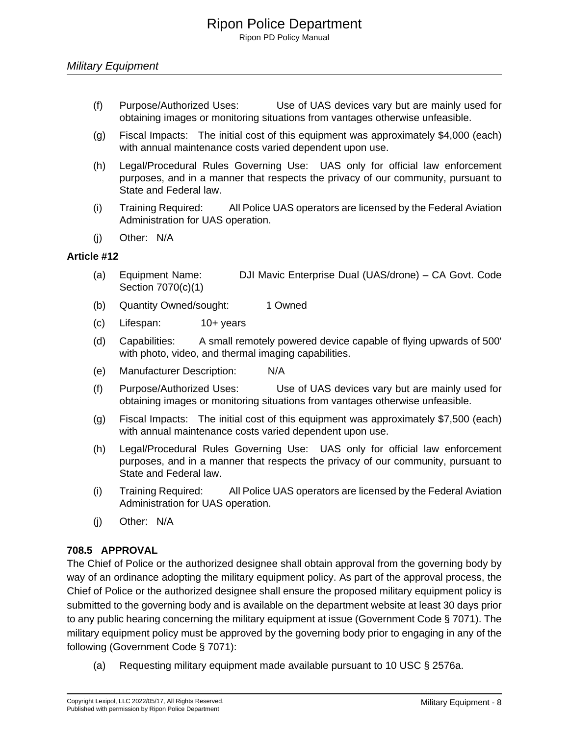- (f) Purpose/Authorized Uses: Use of UAS devices vary but are mainly used for obtaining images or monitoring situations from vantages otherwise unfeasible.
- (g) Fiscal Impacts: The initial cost of this equipment was approximately \$4,000 (each) with annual maintenance costs varied dependent upon use.
- (h) Legal/Procedural Rules Governing Use: UAS only for official law enforcement purposes, and in a manner that respects the privacy of our community, pursuant to State and Federal law.
- (i) Training Required: All Police UAS operators are licensed by the Federal Aviation Administration for UAS operation.
- (j) Other: N/A

- (a) Equipment Name: DJI Mavic Enterprise Dual (UAS/drone) CA Govt. Code Section 7070(c)(1)
- (b) Quantity Owned/sought: 1 Owned
- (c) Lifespan: 10+ years
- (d) Capabilities: A small remotely powered device capable of flying upwards of 500' with photo, video, and thermal imaging capabilities.
- (e) Manufacturer Description: N/A
- (f) Purpose/Authorized Uses: Use of UAS devices vary but are mainly used for obtaining images or monitoring situations from vantages otherwise unfeasible.
- (g) Fiscal Impacts: The initial cost of this equipment was approximately \$7,500 (each) with annual maintenance costs varied dependent upon use.
- (h) Legal/Procedural Rules Governing Use: UAS only for official law enforcement purposes, and in a manner that respects the privacy of our community, pursuant to State and Federal law.
- (i) Training Required: All Police UAS operators are licensed by the Federal Aviation Administration for UAS operation.
- (j) Other: N/A

#### **708.5 APPROVAL**

The Chief of Police or the authorized designee shall obtain approval from the governing body by way of an ordinance adopting the military equipment policy. As part of the approval process, the Chief of Police or the authorized designee shall ensure the proposed military equipment policy is submitted to the governing body and is available on the department website at least 30 days prior to any public hearing concerning the military equipment at issue (Government Code § 7071). The military equipment policy must be approved by the governing body prior to engaging in any of the following (Government Code § 7071):

(a) Requesting military equipment made available pursuant to 10 USC § 2576a.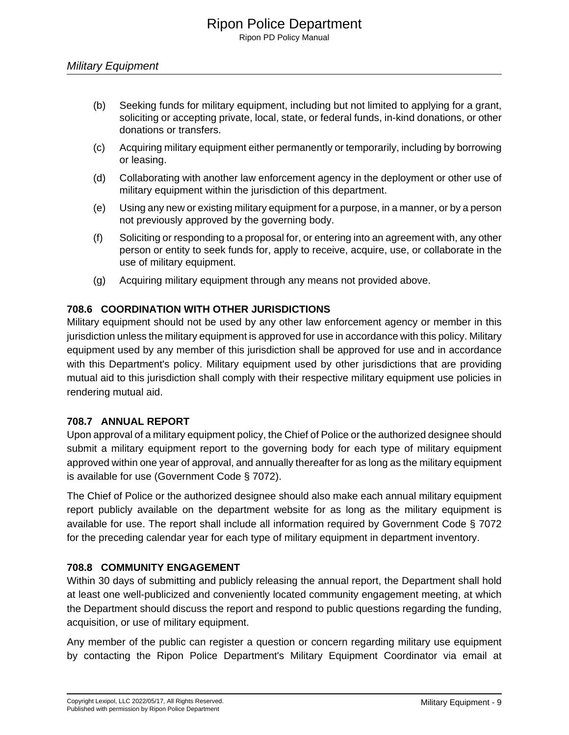- (b) Seeking funds for military equipment, including but not limited to applying for a grant, soliciting or accepting private, local, state, or federal funds, in-kind donations, or other donations or transfers.
- (c) Acquiring military equipment either permanently or temporarily, including by borrowing or leasing.
- (d) Collaborating with another law enforcement agency in the deployment or other use of military equipment within the jurisdiction of this department.
- (e) Using any new or existing military equipment for a purpose, in a manner, or by a person not previously approved by the governing body.
- (f) Soliciting or responding to a proposal for, or entering into an agreement with, any other person or entity to seek funds for, apply to receive, acquire, use, or collaborate in the use of military equipment.
- (g) Acquiring military equipment through any means not provided above.

## **708.6 COORDINATION WITH OTHER JURISDICTIONS**

Military equipment should not be used by any other law enforcement agency or member in this jurisdiction unless the military equipment is approved for use in accordance with this policy. Military equipment used by any member of this jurisdiction shall be approved for use and in accordance with this Department's policy. Military equipment used by other jurisdictions that are providing mutual aid to this jurisdiction shall comply with their respective military equipment use policies in rendering mutual aid.

#### **708.7 ANNUAL REPORT**

Upon approval of a military equipment policy, the Chief of Police or the authorized designee should submit a military equipment report to the governing body for each type of military equipment approved within one year of approval, and annually thereafter for as long as the military equipment is available for use (Government Code § 7072).

The Chief of Police or the authorized designee should also make each annual military equipment report publicly available on the department website for as long as the military equipment is available for use. The report shall include all information required by Government Code § 7072 for the preceding calendar year for each type of military equipment in department inventory.

#### **708.8 COMMUNITY ENGAGEMENT**

Within 30 days of submitting and publicly releasing the annual report, the Department shall hold at least one well-publicized and conveniently located community engagement meeting, at which the Department should discuss the report and respond to public questions regarding the funding, acquisition, or use of military equipment.

Any member of the public can register a question or concern regarding military use equipment by contacting the Ripon Police Department's Military Equipment Coordinator via email at